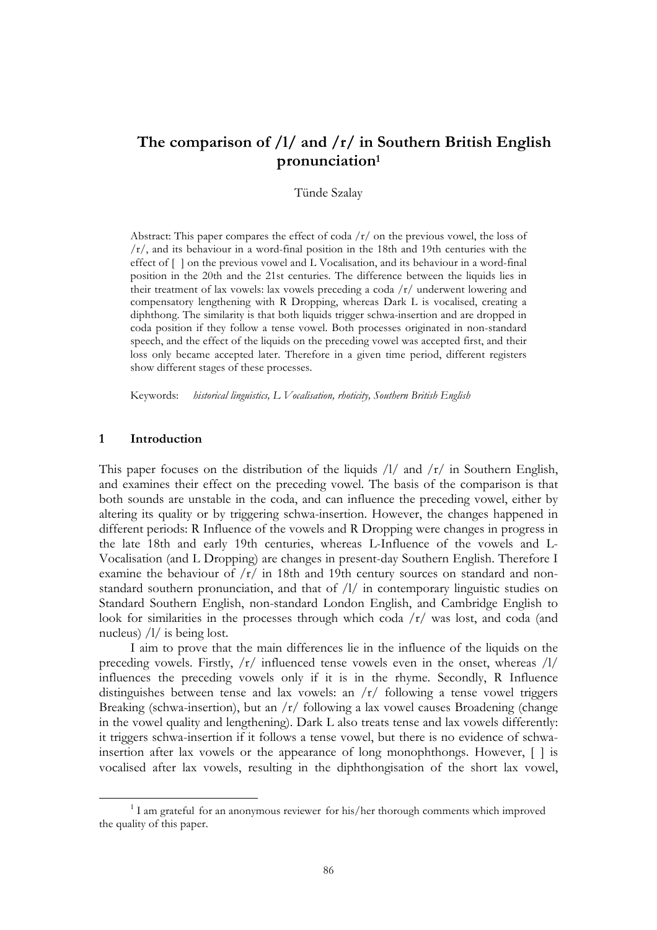# **The comparison of /l/ and /r/ in Southern British English pronunciation1**

## Tünde Szalay

Abstract: This paper compares the effect of coda  $\frac{r}{\pi}$  on the previous vowel, the loss of /r/, and its behaviour in a word-final position in the 18th and 19th centuries with the effect of [] on the previous vowel and L Vocalisation, and its behaviour in a word-final position in the 20th and the 21st centuries. The difference between the liquids lies in their treatment of lax vowels: lax vowels preceding a coda /r/ underwent lowering and compensatory lengthening with R Dropping, whereas Dark L is vocalised, creating a diphthong. The similarity is that both liquids trigger schwa-insertion and are dropped in coda position if they follow a tense vowel. Both processes originated in non-standard speech, and the effect of the liquids on the preceding vowel was accepted first, and their loss only became accepted later. Therefore in a given time period, different registers show different stages of these processes.

Keywords: *historical linguistics, L Vocalisation, rhoticity, Southern British English*

#### **1 Introduction**

This paper focuses on the distribution of the liquids  $/1/$  and  $/r/$  in Southern English, and examines their effect on the preceding vowel. The basis of the comparison is that both sounds are unstable in the coda, and can influence the preceding vowel, either by altering its quality or by triggering schwa-insertion. However, the changes happened in different periods: R Influence of the vowels and R Dropping were changes in progress in the late 18th and early 19th centuries, whereas L-Influence of the vowels and L-Vocalisation (and L Dropping) are changes in present-day Southern English. Therefore I examine the behaviour of  $\frac{r}{r}$  in 18th and 19th century sources on standard and nonstandard southern pronunciation, and that of /l/ in contemporary linguistic studies on Standard Southern English, non-standard London English, and Cambridge English to look for similarities in the processes through which coda  $\sqrt{r}$  was lost, and coda (and nucleus) /l/ is being lost.

I aim to prove that the main differences lie in the influence of the liquids on the preceding vowels. Firstly,  $\frac{r}{r}$  influenced tense vowels even in the onset, whereas  $\frac{1}{r}$ influences the preceding vowels only if it is in the rhyme. Secondly, R Influence distinguishes between tense and lax vowels: an /r/ following a tense vowel triggers Breaking (schwa-insertion), but an /r/ following a lax vowel causes Broadening (change in the vowel quality and lengthening). Dark L also treats tense and lax vowels differently: it triggers schwa-insertion if it follows a tense vowel, but there is no evidence of schwainsertion after lax vowels or the appearance of long monophthongs. However, [] is vocalised after lax vowels, resulting in the diphthongisation of the short lax vowel,

<sup>&</sup>lt;sup>1</sup> I am grateful for an anonymous reviewer for his/her thorough comments which improved the quality of this paper.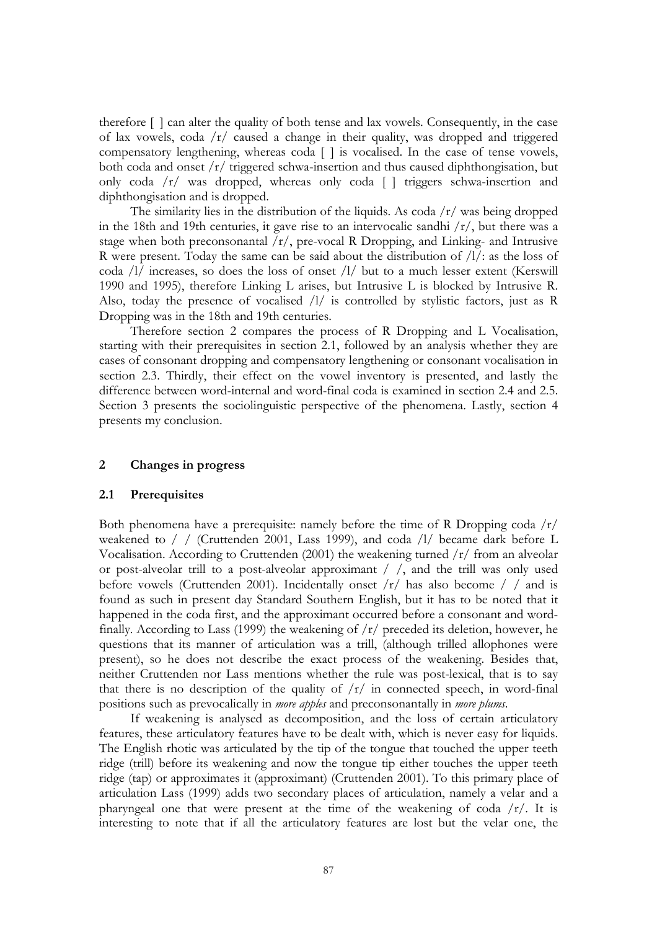therefore [] can alter the quality of both tense and lax vowels. Consequently, in the case of lax vowels, coda /r/ caused a change in their quality, was dropped and triggered compensatory lengthening, whereas coda [] is vocalised. In the case of tense vowels, both coda and onset /r/ triggered schwa-insertion and thus caused diphthongisation, but only coda /r/ was dropped, whereas only coda [] triggers schwa-insertion and diphthongisation and is dropped.

The similarity lies in the distribution of the liquids. As  $\cosh /r /$  was being dropped in the 18th and 19th centuries, it gave rise to an intervocalic sandhi  $\frac{r}{r}$ , but there was a stage when both preconsonantal /r/, pre-vocal R Dropping, and Linking- and Intrusive R were present. Today the same can be said about the distribution of /l/: as the loss of coda /l/ increases, so does the loss of onset /l/ but to a much lesser extent (Kerswill 1990 and 1995), therefore Linking L arises, but Intrusive L is blocked by Intrusive R. Also, today the presence of vocalised /l/ is controlled by stylistic factors, just as R Dropping was in the 18th and 19th centuries.

Therefore section 2 compares the process of R Dropping and L Vocalisation, starting with their prerequisites in section 2.1, followed by an analysis whether they are cases of consonant dropping and compensatory lengthening or consonant vocalisation in section 2.3. Thirdly, their effect on the vowel inventory is presented, and lastly the difference between word-internal and word-final coda is examined in section 2.4 and 2.5. Section 3 presents the sociolinguistic perspective of the phenomena. Lastly, section 4 presents my conclusion.

# **2 Changes in progress**

### **2.1 Prerequisites**

Both phenomena have a prerequisite: namely before the time of R Dropping coda  $\sqrt{r}$ weakened to / / (Cruttenden 2001, Lass 1999), and coda /l/ became dark before L Vocalisation. According to Cruttenden (2001) the weakening turned  $/r/$  from an alveolar or post-alveolar trill to a post-alveolar approximant //, and the trill was only used before vowels (Cruttenden 2001). Incidentally onset  $\langle r \rangle$  has also become  $\langle \rangle$  and is found as such in present day Standard Southern English, but it has to be noted that it happened in the coda first, and the approximant occurred before a consonant and wordfinally. According to Lass (1999) the weakening of  $/r/$  preceded its deletion, however, he questions that its manner of articulation was a trill, (although trilled allophones were present), so he does not describe the exact process of the weakening. Besides that, neither Cruttenden nor Lass mentions whether the rule was post-lexical, that is to say that there is no description of the quality of  $/r/$  in connected speech, in word-final positions such as prevocalically in *more apples* and preconsonantally in *more plums*.

If weakening is analysed as decomposition, and the loss of certain articulatory features, these articulatory features have to be dealt with, which is never easy for liquids. The English rhotic was articulated by the tip of the tongue that touched the upper teeth ridge (trill) before its weakening and now the tongue tip either touches the upper teeth ridge (tap) or approximates it (approximant) (Cruttenden 2001). To this primary place of articulation Lass (1999) adds two secondary places of articulation, namely a velar and a pharyngeal one that were present at the time of the weakening of coda  $/r/$ . It is interesting to note that if all the articulatory features are lost but the velar one, the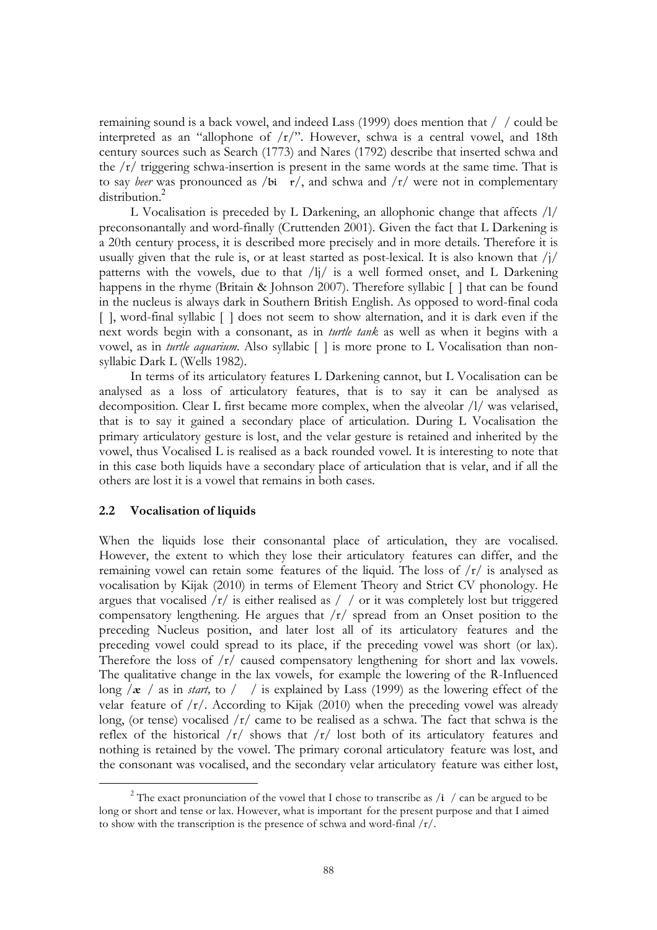remaining sound is a back vowel, and indeed Lass (1999) does mention that // could be interpreted as an "allophone of  $/r$ ". However, schwa is a central vowel, and 18th century sources such as Search (1773) and Nares (1792) describe that inserted schwa and the /r/ triggering schwa-insertion is present in the same words at the same time. That is to say *beer* was pronounced as /bir/, and schwa and  $\frac{r}{r}$  were not in complementary distribution.<sup>2</sup>

L Vocalisation is preceded by L Darkening, an allophonic change that affects /l/ preconsonantally and word-finally (Cruttenden 2001). Given the fact that L Darkening is a 20th century process, it is described more precisely and in more details. Therefore it is usually given that the rule is, or at least started as post-lexical. It is also known that  $\frac{i}{l}$ patterns with the vowels, due to that /lj/ is a well formed onset, and L Darkening happens in the rhyme (Britain & Johnson 2007). Therefore syllabic [] that can be found in the nucleus is always dark in Southern British English. As opposed to word-final coda [], word-final syllabic [] does not seem to show alternation, and it is dark even if the next words begin with a consonant, as in *turtle tank* as well as when it begins with a vowel, as in *turtle aquarium*. Also syllabic [] is more prone to L Vocalisation than nonsyllabic Dark L (Wells 1982).

In terms of its articulatory features L Darkening cannot, but L Vocalisation can be analysed as a loss of articulatory features, that is to say it can be analysed as decomposition. Clear L first became more complex, when the alveolar /l/ was velarised, that is to say it gained a secondary place of articulation. During L Vocalisation the primary articulatory gesture is lost, and the velar gesture is retained and inherited by the vowel, thus Vocalised L is realised as a back rounded vowel. It is interesting to note that in this case both liquids have a secondary place of articulation that is velar, and if all the others are lost it is a vowel that remains in both cases.

## **2.2 Vocalisation of liquids**

 $\overline{a}$ 

When the liquids lose their consonantal place of articulation, they are vocalised. However, the extent to which they lose their articulatory features can differ, and the remaining vowel can retain some features of the liquid. The loss of  $\frac{r}{r}$  is analysed as vocalisation by Kijak (2010) in terms of Element Theory and Strict CV phonology. He argues that vocalised  $\sqrt{r}$  is either realised as  $/$  / or it was completely lost but triggered compensatory lengthening. He argues that /r/ spread from an Onset position to the preceding Nucleus position, and later lost all of its articulatory features and the preceding vowel could spread to its place, if the preceding vowel was short (or lax). Therefore the loss of /r/ caused compensatory lengthening for short and lax vowels. The qualitative change in the lax vowels, for example the lowering of the R-Influenced long  $\alpha$  / as in *start,* to / / is explained by Lass (1999) as the lowering effect of the velar feature of  $/r/$ . According to Kijak (2010) when the preceding vowel was already long, (or tense) vocalised  $\sqrt{r}$  came to be realised as a schwa. The fact that schwa is the reflex of the historical  $/r/$  shows that  $/r/$  lost both of its articulatory features and nothing is retained by the vowel. The primary coronal articulatory feature was lost, and the consonant was vocalised, and the secondary velar articulatory feature was either lost,

<sup>&</sup>lt;sup>2</sup> The exact pronunciation of the vowel that I chose to transcribe as  $\frac{1}{4}$  / can be argued to be long or short and tense or lax. However, what is important for the present purpose and that I aimed to show with the transcription is the presence of schwa and word-final /r/.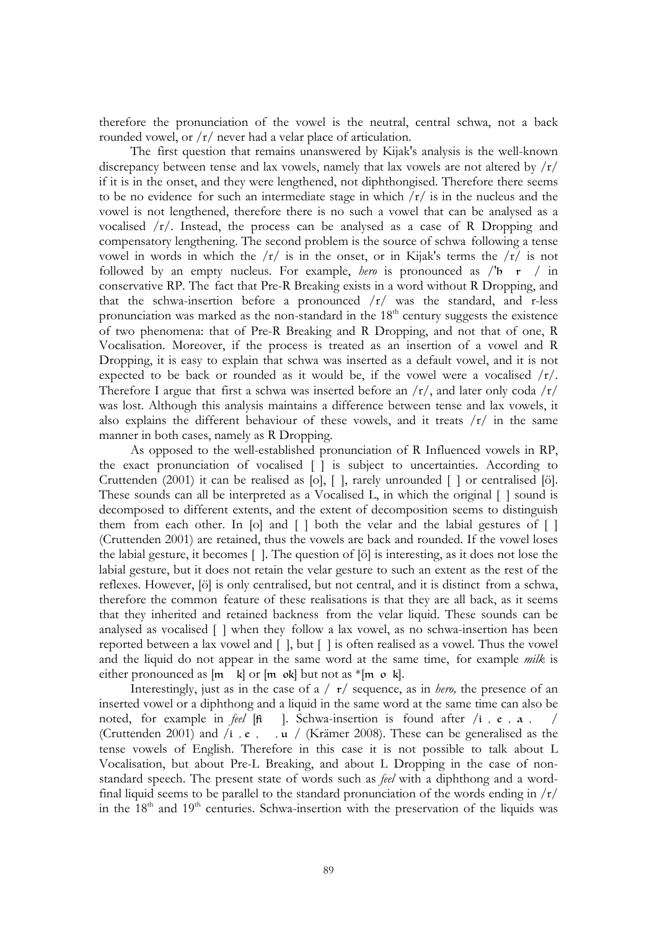therefore the pronunciation of the vowel is the neutral, central schwa, not a back rounded vowel, or /r/ never had a velar place of articulation.

The first question that remains unanswered by Kijak's analysis is the well-known discrepancy between tense and lax vowels, namely that lax vowels are not altered by  $\frac{1}{r}$ if it is in the onset, and they were lengthened, not diphthongised. Therefore there seems to be no evidence for such an intermediate stage in which  $\frac{r}{r}$  is in the nucleus and the vowel is not lengthened, therefore there is no such a vowel that can be analysed as a vocalised  $/r/$ . Instead, the process can be analysed as a case of R Dropping and compensatory lengthening. The second problem is the source of schwa following a tense vowel in words in which the  $\frac{r}{r}$  is in the onset, or in Kijak's terms the  $\frac{r}{r}$  is not followed by an empty nucleus. For example, *hero* is pronounced as /'b r / in conservative RP. The fact that Pre-R Breaking exists in a word without R Dropping, and that the schwa-insertion before a pronounced  $\sqrt{r}$  was the standard, and r-less pronunciation was marked as the non-standard in the  $18<sup>th</sup>$  century suggests the existence of two phenomena: that of Pre-R Breaking and R Dropping, and not that of one, R Vocalisation. Moreover, if the process is treated as an insertion of a vowel and R Dropping, it is easy to explain that schwa was inserted as a default vowel, and it is not expected to be back or rounded as it would be, if the vowel were a vocalised  $/r/$ . Therefore I argue that first a schwa was inserted before an  $\frac{r}{\lambda}$  and later only coda  $\frac{r}{\lambda}$ was lost. Although this analysis maintains a difference between tense and lax vowels, it also explains the different behaviour of these vowels, and it treats  $\frac{r}{r}$  in the same manner in both cases, namely as R Dropping.

As opposed to the well-established pronunciation of R Influenced vowels in RP, the exact pronunciation of vocalised [] is subject to uncertainties. According to Cruttenden (2001) it can be realised as [o], [], rarely unrounded [] or centralised [ö]. These sounds can all be interpreted as a Vocalised L, in which the original  $\lceil \; \rceil$  sound is decomposed to different extents, and the extent of decomposition seems to distinguish them from each other. In [o] and [] both the velar and the labial gestures of [] (Cruttenden 2001) are retained, thus the vowels are back and rounded. If the vowel loses the labial gesture, it becomes []. The question of [ö] is interesting, as it does not lose the labial gesture, but it does not retain the velar gesture to such an extent as the rest of the reflexes. However, [ö] is only centralised, but not central, and it is distinct from a schwa, therefore the common feature of these realisations is that they are all back, as it seems that they inherited and retained backness from the velar liquid. These sounds can be analysed as vocalised [] when they follow a lax vowel, as no schwa-insertion has been reported between a lax vowel and [], but [] is often realised as a vowel. Thus the vowel and the liquid do not appear in the same word at the same time, for example *milk* is either pronounced as  $[m_k]$  or  $[m_\infty]$  but not as  $*[m_\infty]$ .

Interestingly, just as in the case of a /  $r/$  sequence, as in *hero*, the presence of an inserted vowel or a diphthong and a liquid in the same word at the same time can also be noted, for example in *feel*  $[f_i]$ . Schwa-insertion is found after  $/i$ ,  $e$ ,  $a$ , (Cruttenden 2001) and  $\pi$ ,  $\epsilon$ , ,  $\pi$  / (Krämer 2008). These can be generalised as the tense vowels of English. Therefore in this case it is not possible to talk about L Vocalisation, but about Pre-L Breaking, and about L Dropping in the case of nonstandard speech. The present state of words such as *feel* with a diphthong and a wordfinal liquid seems to be parallel to the standard pronunciation of the words ending in /r/ in the  $18<sup>th</sup>$  and  $19<sup>th</sup>$  centuries. Schwa-insertion with the preservation of the liquids was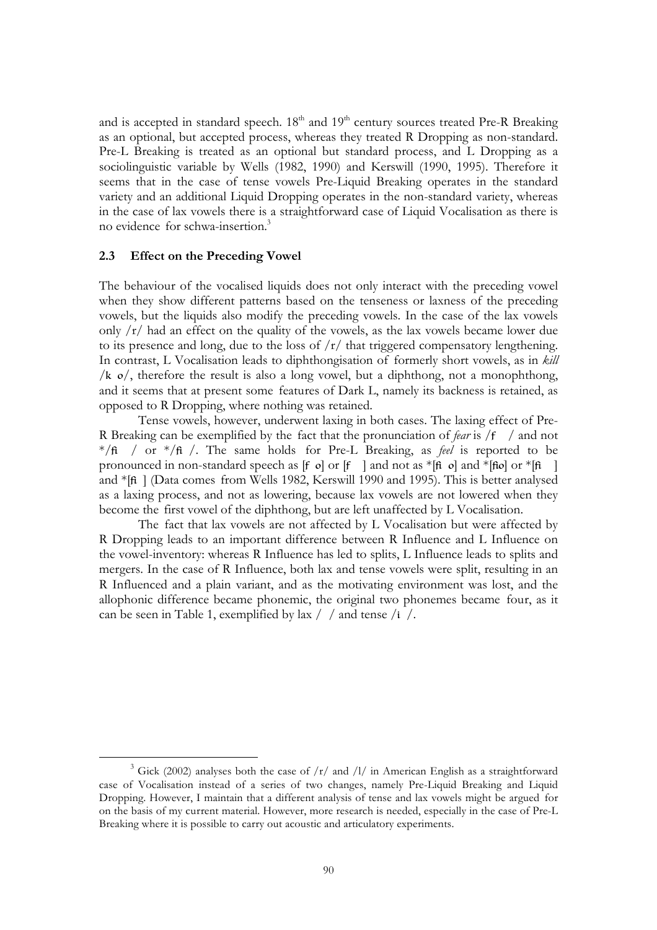and is accepted in standard speech.  $18<sup>th</sup>$  and  $19<sup>th</sup>$  century sources treated Pre-R Breaking as an optional, but accepted process, whereas they treated R Dropping as non-standard. Pre-L Breaking is treated as an optional but standard process, and L Dropping as a sociolinguistic variable by Wells (1982, 1990) and Kerswill (1990, 1995). Therefore it seems that in the case of tense vowels Pre-Liquid Breaking operates in the standard variety and an additional Liquid Dropping operates in the non-standard variety, whereas in the case of lax vowels there is a straightforward case of Liquid Vocalisation as there is no evidence for schwa-insertion.3

# **2.3 Effect on the Preceding Vowel**

 $\overline{a}$ 

The behaviour of the vocalised liquids does not only interact with the preceding vowel when they show different patterns based on the tenseness or laxness of the preceding vowels, but the liquids also modify the preceding vowels. In the case of the lax vowels only  $\sqrt{r}$  had an effect on the quality of the vowels, as the lax vowels became lower due to its presence and long, due to the loss of  $\frac{r}{r}$  that triggered compensatory lengthening. In contrast, L Vocalisation leads to diphthongisation of formerly short vowels, as in *kill*  /k  $o$ , therefore the result is also a long vowel, but a diphthong, not a monophthong, and it seems that at present some features of Dark L, namely its backness is retained, as opposed to R Dropping, where nothing was retained.

Tense vowels, however, underwent laxing in both cases. The laxing effect of Pre-R Breaking can be exemplified by the fact that the pronunciation of *fear* is  $/f$  / and not  $*/\text{ft}$  / or  $*/\text{ft}$  /. The same holds for Pre-L Breaking, as *feel* is reported to be pronounced in non-standard speech as [f o] or [f ] and not as  $*$ [fi o] and  $*$ [fio] or  $*$ [fi] ] and \*[fi] (Data comes from Wells 1982, Kerswill 1990 and 1995). This is better analysed as a laxing process, and not as lowering, because lax vowels are not lowered when they become the first vowel of the diphthong, but are left unaffected by L Vocalisation.

The fact that lax vowels are not affected by L Vocalisation but were affected by R Dropping leads to an important difference between R Influence and L Influence on the vowel-inventory: whereas R Influence has led to splits, L Influence leads to splits and mergers. In the case of R Influence, both lax and tense vowels were split, resulting in an R Influenced and a plain variant, and as the motivating environment was lost, and the allophonic difference became phonemic, the original two phonemes became four, as it can be seen in Table 1, exemplified by lax  $/$  / and tense /i /.

<sup>&</sup>lt;sup>3</sup> Gick (2002) analyses both the case of  $\frac{r}{x}$  and  $\frac{1}{r}$  in American English as a straightforward case of Vocalisation instead of a series of two changes, namely Pre-Liquid Breaking and Liquid Dropping. However, I maintain that a different analysis of tense and lax vowels might be argued for on the basis of my current material. However, more research is needed, especially in the case of Pre-L Breaking where it is possible to carry out acoustic and articulatory experiments.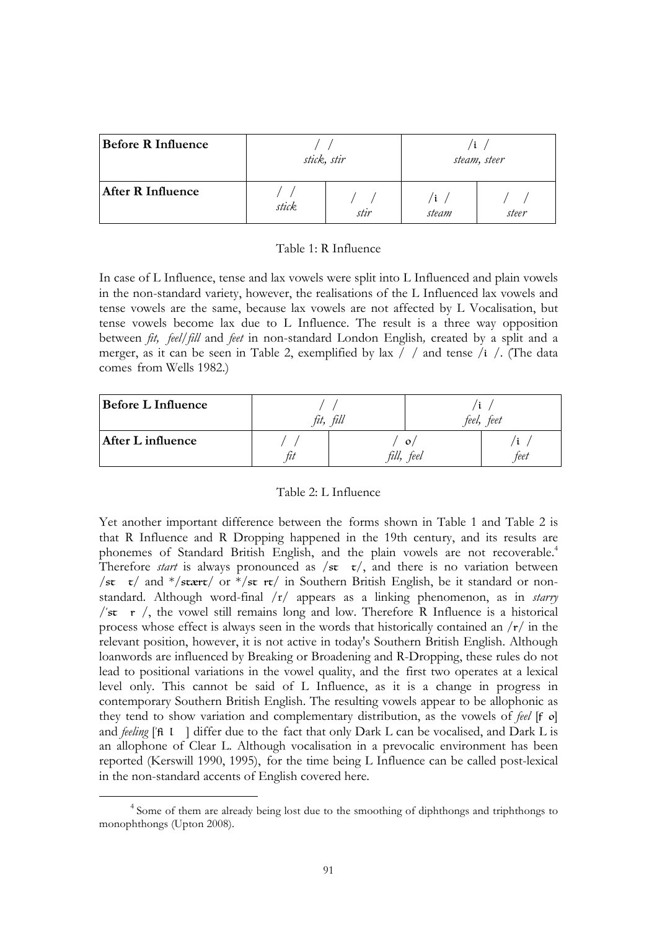| <b>Before R Influence</b> | stick, stir |      | steam, steer |       |
|---------------------------|-------------|------|--------------|-------|
| <b>After R Influence</b>  | stick       | stir | i<br>steam   | steer |

## Table 1: R Influence

In case of L Influence, tense and lax vowels were split into L Influenced and plain vowels in the non-standard variety, however, the realisations of the L Influenced lax vowels and tense vowels are the same, because lax vowels are not affected by L Vocalisation, but tense vowels become lax due to L Influence. The result is a three way opposition between *fit, feel/fill* and *feet* in non-standard London English*,* created by a split and a merger, as it can be seen in Table 2, exemplified by lax  $/$  / and tense /i /. (The data comes from Wells 1982.)

| <b>Before L Influence</b> | tıt. | fill             | teel,                | feet      |
|---------------------------|------|------------------|----------------------|-----------|
| After L influence         | tıt  | $t\mathcal{U}l.$ | $\mathbf{o}$<br>feel | Ĺ<br>feet |

# Table 2: L Influence

Yet another important difference between the forms shown in Table 1 and Table 2 is that R Influence and R Dropping happened in the 19th century, and its results are phonemes of Standard British English, and the plain vowels are not recoverable.<sup>4</sup> Therefore *start* is always pronounced as  $/\text{st}$   $\tau/$ , and there is no variation between /st  $\tau$ / and \*/stært/ or \*/st rt/ in Southern British English, be it standard or nonstandard. Although word-final /r/ appears as a linking phenomenon, as in *starry*  /'st  $r$  /, the vowel still remains long and low. Therefore R Influence is a historical process whose effect is always seen in the words that historically contained an /r/ in the relevant position, however, it is not active in today's Southern British English. Although loanwords are influenced by Breaking or Broadening and R-Dropping, these rules do not lead to positional variations in the vowel quality, and the first two operates at a lexical level only. This cannot be said of L Influence, as it is a change in progress in contemporary Southern British English. The resulting vowels appear to be allophonic as they tend to show variation and complementary distribution, as the vowels of *feel* [f o] and *feeling* ['fil ] differ due to the fact that only Dark L can be vocalised, and Dark L is an allophone of Clear L. Although vocalisation in a prevocalic environment has been reported (Kerswill 1990, 1995), for the time being L Influence can be called post-lexical in the non-standard accents of English covered here.

 $\overline{a}$ 

<sup>4</sup> Some of them are already being lost due to the smoothing of diphthongs and triphthongs to monophthongs (Upton 2008).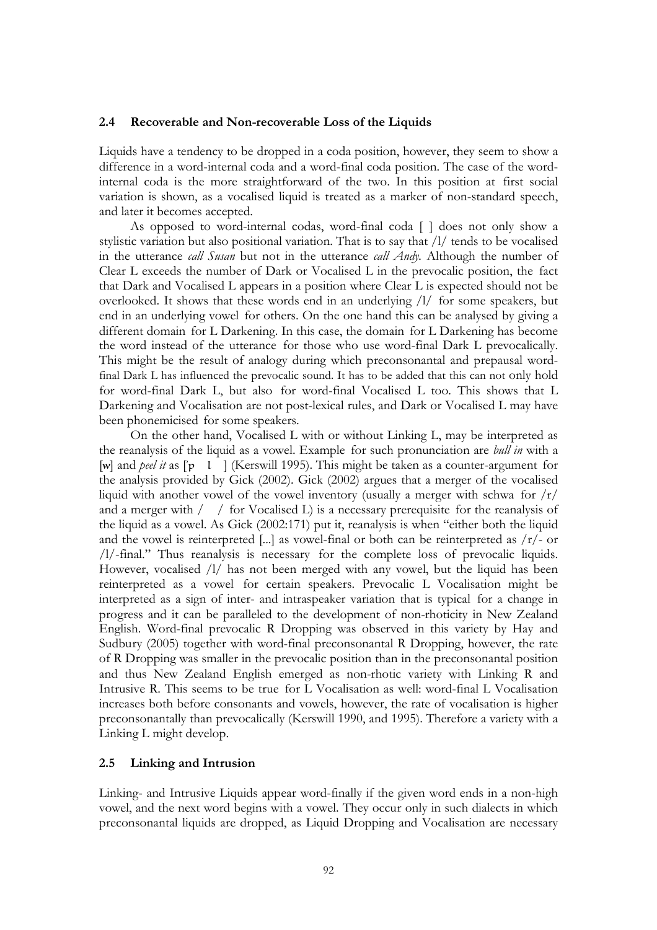## **2.4 Recoverable and Non-recoverable Loss of the Liquids**

Liquids have a tendency to be dropped in a coda position, however, they seem to show a difference in a word-internal coda and a word-final coda position. The case of the wordinternal coda is the more straightforward of the two. In this position at first social variation is shown, as a vocalised liquid is treated as a marker of non-standard speech, and later it becomes accepted.

As opposed to word-internal codas, word-final coda [] does not only show a stylistic variation but also positional variation. That is to say that /l/ tends to be vocalised in the utterance *call Susan* but not in the utterance *call Andy.* Although the number of Clear L exceeds the number of Dark or Vocalised L in the prevocalic position, the fact that Dark and Vocalised L appears in a position where Clear L is expected should not be overlooked. It shows that these words end in an underlying /l/ for some speakers, but end in an underlying vowel for others. On the one hand this can be analysed by giving a different domain for L Darkening. In this case, the domain for L Darkening has become the word instead of the utterance for those who use word-final Dark L prevocalically. This might be the result of analogy during which preconsonantal and prepausal wordfinal Dark L has influenced the prevocalic sound. It has to be added that this can not only hold for word-final Dark L, but also for word-final Vocalised L too. This shows that L Darkening and Vocalisation are not post-lexical rules, and Dark or Vocalised L may have been phonemicised for some speakers.

On the other hand, Vocalised L with or without Linking L, may be interpreted as the reanalysis of the liquid as a vowel. Example for such pronunciation are *bull in* with a [w] and *peel it* as  $\lbrack \mathbf{p} \quad \mathbf{l} \quad \rbrack$  (Kerswill 1995). This might be taken as a counter-argument for the analysis provided by Gick (2002). Gick (2002) argues that a merger of the vocalised liquid with another vowel of the vowel inventory (usually a merger with schwa for  $\frac{r}{r}$ ) and a merger with  $/$  / for Vocalised L) is a necessary prerequisite for the reanalysis of the liquid as a vowel. As Gick (2002:171) put it, reanalysis is when "either both the liquid and the vowel is reinterpreted [...] as vowel-final or both can be reinterpreted as  $/r/$ - or /l/-final." Thus reanalysis is necessary for the complete loss of prevocalic liquids. However, vocalised /l/ has not been merged with any vowel, but the liquid has been reinterpreted as a vowel for certain speakers. Prevocalic L Vocalisation might be interpreted as a sign of inter- and intraspeaker variation that is typical for a change in progress and it can be paralleled to the development of non-rhoticity in New Zealand English. Word-final prevocalic R Dropping was observed in this variety by Hay and Sudbury (2005) together with word-final preconsonantal R Dropping, however, the rate of R Dropping was smaller in the prevocalic position than in the preconsonantal position and thus New Zealand English emerged as non-rhotic variety with Linking R and Intrusive R. This seems to be true for L Vocalisation as well: word-final L Vocalisation increases both before consonants and vowels, however, the rate of vocalisation is higher preconsonantally than prevocalically (Kerswill 1990, and 1995). Therefore a variety with a Linking L might develop.

### **2.5 Linking and Intrusion**

Linking- and Intrusive Liquids appear word-finally if the given word ends in a non-high vowel, and the next word begins with a vowel. They occur only in such dialects in which preconsonantal liquids are dropped, as Liquid Dropping and Vocalisation are necessary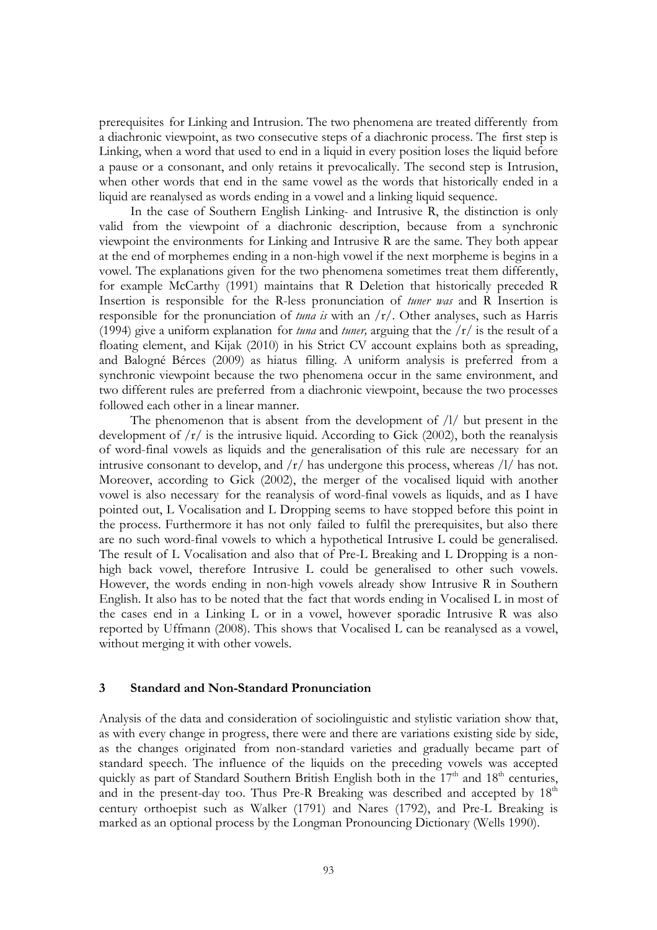prerequisites for Linking and Intrusion. The two phenomena are treated differently from a diachronic viewpoint, as two consecutive steps of a diachronic process. The first step is Linking, when a word that used to end in a liquid in every position loses the liquid before a pause or a consonant, and only retains it prevocalically. The second step is Intrusion, when other words that end in the same vowel as the words that historically ended in a liquid are reanalysed as words ending in a vowel and a linking liquid sequence.

In the case of Southern English Linking- and Intrusive R, the distinction is only valid from the viewpoint of a diachronic description, because from a synchronic viewpoint the environments for Linking and Intrusive R are the same. They both appear at the end of morphemes ending in a non-high vowel if the next morpheme is begins in a vowel. The explanations given for the two phenomena sometimes treat them differently, for example McCarthy (1991) maintains that R Deletion that historically preceded R Insertion is responsible for the R-less pronunciation of *tuner was* and R Insertion is responsible for the pronunciation of *tuna is* with an /r/. Other analyses, such as Harris (1994) give a uniform explanation for *tuna* and *tuner,* arguing that the /r/ is the result of a floating element, and Kijak (2010) in his Strict CV account explains both as spreading, and Balogné Bérces (2009) as hiatus filling. A uniform analysis is preferred from a synchronic viewpoint because the two phenomena occur in the same environment, and two different rules are preferred from a diachronic viewpoint, because the two processes followed each other in a linear manner.

The phenomenon that is absent from the development of  $/1/$  but present in the development of  $/r/$  is the intrusive liquid. According to Gick (2002), both the reanalysis of word-final vowels as liquids and the generalisation of this rule are necessary for an intrusive consonant to develop, and  $\frac{r}{\pi}$  has undergone this process, whereas  $\frac{1}{r}$  has not. Moreover, according to Gick (2002), the merger of the vocalised liquid with another vowel is also necessary for the reanalysis of word-final vowels as liquids, and as I have pointed out, L Vocalisation and L Dropping seems to have stopped before this point in the process. Furthermore it has not only failed to fulfil the prerequisites, but also there are no such word-final vowels to which a hypothetical Intrusive L could be generalised. The result of L Vocalisation and also that of Pre-L Breaking and L Dropping is a nonhigh back vowel, therefore Intrusive L could be generalised to other such vowels. However, the words ending in non-high vowels already show Intrusive R in Southern English. It also has to be noted that the fact that words ending in Vocalised L in most of the cases end in a Linking L or in a vowel, however sporadic Intrusive R was also reported by Uffmann (2008). This shows that Vocalised L can be reanalysed as a vowel, without merging it with other vowels.

## **3 Standard and Non-Standard Pronunciation**

Analysis of the data and consideration of sociolinguistic and stylistic variation show that, as with every change in progress, there were and there are variations existing side by side, as the changes originated from non-standard varieties and gradually became part of standard speech. The influence of the liquids on the preceding vowels was accepted quickly as part of Standard Southern British English both in the  $17<sup>th</sup>$  and  $18<sup>th</sup>$  centuries, and in the present-day too. Thus Pre-R Breaking was described and accepted by 18<sup>th</sup> century orthoepist such as Walker (1791) and Nares (1792), and Pre-L Breaking is marked as an optional process by the Longman Pronouncing Dictionary (Wells 1990).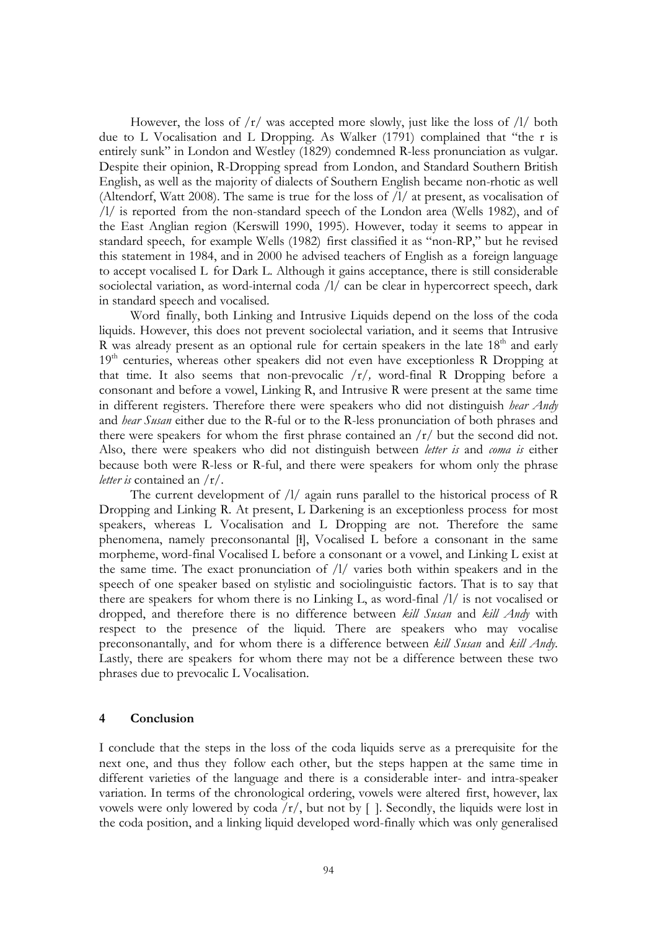However, the loss of  $\frac{r}{r}$  was accepted more slowly, just like the loss of  $\frac{1}{\sqrt{2}}$  both due to L Vocalisation and L Dropping. As Walker (1791) complained that "the r is entirely sunk" in London and Westley (1829) condemned R-less pronunciation as vulgar. Despite their opinion, R-Dropping spread from London, and Standard Southern British English, as well as the majority of dialects of Southern English became non-rhotic as well (Altendorf, Watt 2008). The same is true for the loss of /l/ at present, as vocalisation of /l/ is reported from the non-standard speech of the London area (Wells 1982), and of the East Anglian region (Kerswill 1990, 1995). However, today it seems to appear in standard speech, for example Wells (1982) first classified it as "non-RP," but he revised this statement in 1984, and in 2000 he advised teachers of English as a foreign language to accept vocalised L for Dark L. Although it gains acceptance, there is still considerable sociolectal variation, as word-internal coda /l/ can be clear in hypercorrect speech, dark in standard speech and vocalised.

Word finally, both Linking and Intrusive Liquids depend on the loss of the coda liquids. However, this does not prevent sociolectal variation, and it seems that Intrusive R was already present as an optional rule for certain speakers in the late  $18<sup>th</sup>$  and early 19<sup>th</sup> centuries, whereas other speakers did not even have exceptionless R Dropping at that time. It also seems that non-prevocalic /r/*,* word-final R Dropping before a consonant and before a vowel, Linking R, and Intrusive R were present at the same time in different registers. Therefore there were speakers who did not distinguish *hear Andy*  and *hear Susan* either due to the R-ful or to the R-less pronunciation of both phrases and there were speakers for whom the first phrase contained an  $/r/$  but the second did not. Also, there were speakers who did not distinguish between *letter is* and *coma is* either because both were R-less or R-ful, and there were speakers for whom only the phrase *letter is* contained an /r/.

The current development of  $/1/$  again runs parallel to the historical process of R Dropping and Linking R. At present, L Darkening is an exceptionless process for most speakers, whereas L Vocalisation and L Dropping are not. Therefore the same phenomena, namely preconsonantal [ɫ], Vocalised L before a consonant in the same morpheme, word-final Vocalised L before a consonant or a vowel, and Linking L exist at the same time. The exact pronunciation of /l/ varies both within speakers and in the speech of one speaker based on stylistic and sociolinguistic factors. That is to say that there are speakers for whom there is no Linking L, as word-final /l/ is not vocalised or dropped, and therefore there is no difference between *kill Susan* and *kill Andy* with respect to the presence of the liquid*.* There are speakers who may vocalise preconsonantally, and for whom there is a difference between *kill Susan* and *kill Andy.*  Lastly, there are speakers for whom there may not be a difference between these two phrases due to prevocalic L Vocalisation.

## **4 Conclusion**

I conclude that the steps in the loss of the coda liquids serve as a prerequisite for the next one, and thus they follow each other, but the steps happen at the same time in different varieties of the language and there is a considerable inter- and intra-speaker variation. In terms of the chronological ordering, vowels were altered first, however, lax vowels were only lowered by coda  $/r/$ , but not by []. Secondly, the liquids were lost in the coda position, and a linking liquid developed word-finally which was only generalised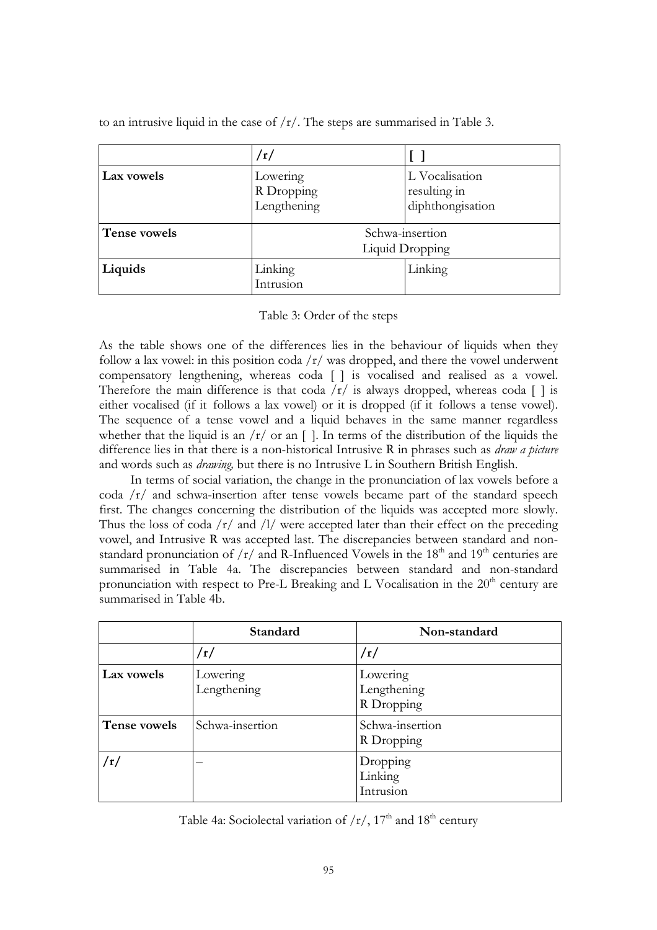|              | /r/                                   |                                                    |
|--------------|---------------------------------------|----------------------------------------------------|
| Lax vowels   | Lowering<br>R Dropping<br>Lengthening | L Vocalisation<br>resulting in<br>diphthongisation |
| Tense vowels | Schwa-insertion<br>Liquid Dropping    |                                                    |
| Liquids      | Linking<br>Intrusion                  | Linking                                            |

to an intrusive liquid in the case of /r/. The steps are summarised in Table 3.

# Table 3: Order of the steps

As the table shows one of the differences lies in the behaviour of liquids when they follow a lax vowel: in this position coda  $\frac{r}{\sqrt{r}}$  was dropped, and there the vowel underwent compensatory lengthening, whereas coda [] is vocalised and realised as a vowel. Therefore the main difference is that coda  $\langle r \rangle$  is always dropped, whereas coda  $\lceil \cdot \rceil$  is either vocalised (if it follows a lax vowel) or it is dropped (if it follows a tense vowel). The sequence of a tense vowel and a liquid behaves in the same manner regardless whether that the liquid is an  $/r/$  or an []. In terms of the distribution of the liquids the difference lies in that there is a non-historical Intrusive R in phrases such as *draw a picture*  and words such as *drawing,* but there is no Intrusive L in Southern British English.

In terms of social variation, the change in the pronunciation of lax vowels before a coda  $\sqrt{r}$  and schwa-insertion after tense vowels became part of the standard speech first. The changes concerning the distribution of the liquids was accepted more slowly. Thus the loss of coda  $\frac{r}{\tan \theta}$  and  $\frac{1}{\tan \theta}$  were accepted later than their effect on the preceding vowel, and Intrusive R was accepted last. The discrepancies between standard and nonstandard pronunciation of  $/r/$  and R-Influenced Vowels in the 18<sup>th</sup> and 19<sup>th</sup> centuries are summarised in Table 4a. The discrepancies between standard and non-standard pronunciation with respect to Pre-L Breaking and L Vocalisation in the  $20<sup>th</sup>$  century are summarised in Table 4b.

|              | Standard                | Non-standard                          |
|--------------|-------------------------|---------------------------------------|
|              | /r/                     | /r/                                   |
| Lax vowels   | Lowering<br>Lengthening | Lowering<br>Lengthening<br>R Dropping |
| Tense vowels | Schwa-insertion         | Schwa-insertion<br>R Dropping         |
| /r/          |                         | Dropping<br>Linking<br>Intrusion      |

Table 4a: Sociolectal variation of  $/r/$ , 17<sup>th</sup> and 18<sup>th</sup> century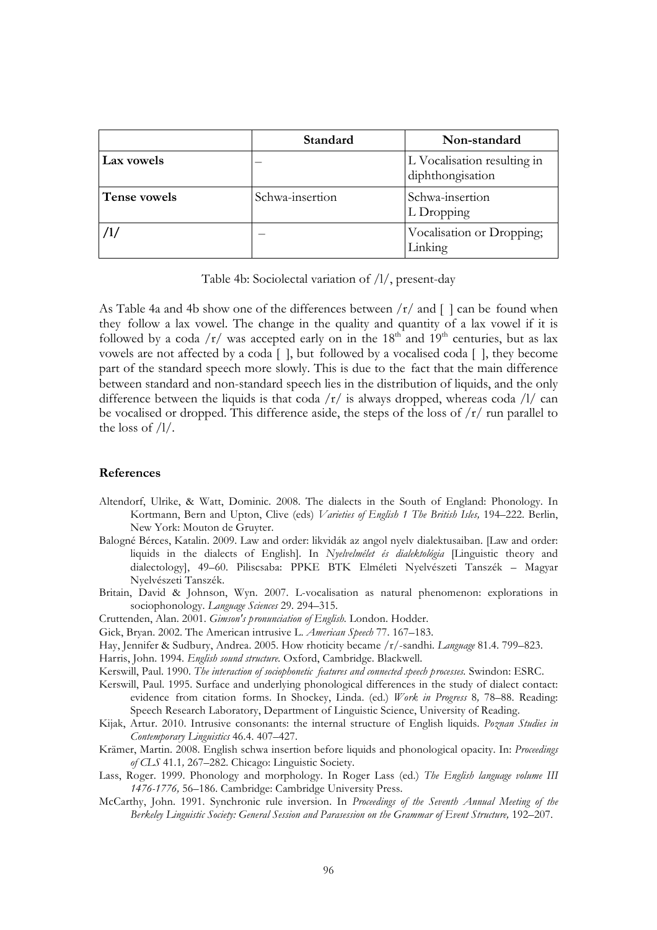|              | Standard        | Non-standard                                    |
|--------------|-----------------|-------------------------------------------------|
| Lax vowels   |                 | L Vocalisation resulting in<br>diphthongisation |
| Tense vowels | Schwa-insertion | Schwa-insertion<br>L Dropping                   |
|              |                 | Vocalisation or Dropping;<br>Linking            |

Table 4b: Sociolectal variation of /l/, present-day

As Table 4a and 4b show one of the differences between  $/r/$  and  $\lceil \cdot \rceil$  can be found when they follow a lax vowel. The change in the quality and quantity of a lax vowel if it is followed by a coda  $/r/$  was accepted early on in the 18<sup>th</sup> and 19<sup>th</sup> centuries, but as lax vowels are not affected by a coda [], but followed by a vocalised coda [], they become part of the standard speech more slowly. This is due to the fact that the main difference between standard and non-standard speech lies in the distribution of liquids, and the only difference between the liquids is that coda  $\sqrt{r}$  is always dropped, whereas coda  $\sqrt{1}$  can be vocalised or dropped. This difference aside, the steps of the loss of  $\frac{r}{r}$  run parallel to the loss of /l/.

### **References**

- Altendorf, Ulrike, & Watt, Dominic. 2008. The dialects in the South of England: Phonology. In Kortmann, Bern and Upton, Clive (eds) *Varieties of English 1 The British Isles,* 194–222. Berlin, New York: Mouton de Gruyter.
- Balogné Bérces, Katalin. 2009. Law and order: likvidák az angol nyelv dialektusaiban. [Law and order: liquids in the dialects of English]. In *Nyelvelmélet és dialektológia* [Linguistic theory and dialectology], 49–60. Piliscsaba: PPKE BTK Elméleti Nyelvészeti Tanszék – Magyar Nyelvészeti Tanszék.
- Britain, David & Johnson, Wyn. 2007. L-vocalisation as natural phenomenon: explorations in sociophonology. *Language Sciences* 29*.* 294–315.

Cruttenden, Alan. 2001. *Gimson's pronunciation of English.* London. Hodder.

Gick, Bryan. 2002. The American intrusive L. *American Speech* 77. 167–183.

Hay, Jennifer & Sudbury, Andrea. 2005. How rhoticity became /r/-sandhi. *Language* 81.4. 799–823.

Harris, John. 1994. *English sound structure.* Oxford, Cambridge. Blackwell.

Kerswill, Paul. 1990. *The interaction of sociophonetic features and connected speech processes.* Swindon: ESRC.

Kerswill, Paul. 1995. Surface and underlying phonological differences in the study of dialect contact: evidence from citation forms. In Shockey, Linda. (ed.) *Work in Progress* 8*,* 78–88. Reading: Speech Research Laboratory, Department of Linguistic Science, University of Reading.

- Kijak, Artur. 2010. Intrusive consonants: the internal structure of English liquids. *Poznan Studies in Contemporary Linguistics* 46.4. 407–427.
- Krämer, Martin. 2008. English schwa insertion before liquids and phonological opacity. In: *Proceedings of CLS* 41.1*,* 267–282. Chicago: Linguistic Society.
- Lass, Roger. 1999. Phonology and morphology. In Roger Lass (ed.) *The English language volume III 1476-1776,* 56–186. Cambridge: Cambridge University Press.
- McCarthy, John. 1991. Synchronic rule inversion. In *Proceedings of the Seventh Annual Meeting of the*  Berkeley Linguistic Society: General Session and Parasession on the Grammar of Event Structure, 192–207.